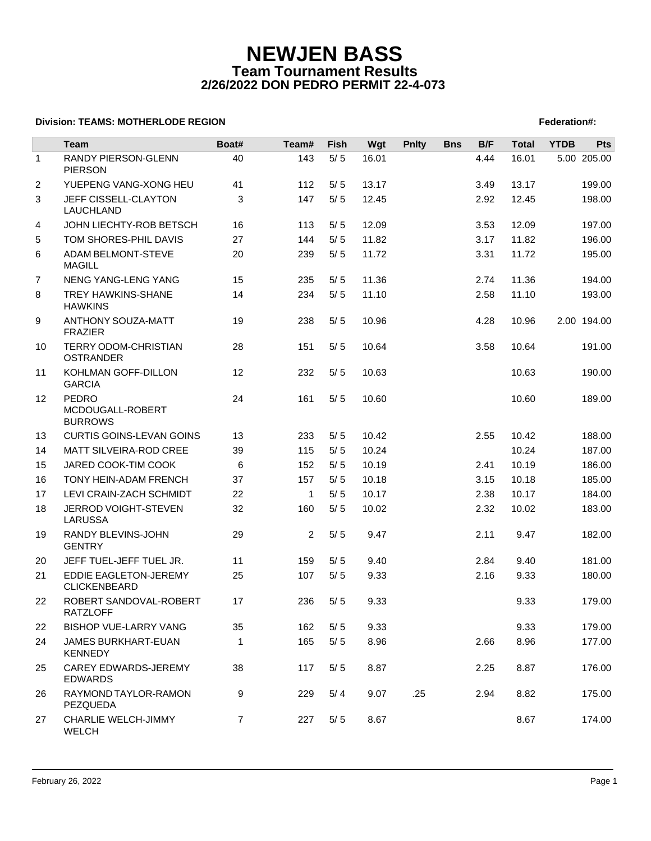## **NEWJEN BASS Team Tournament Results 2/26/2022 DON PEDRO PERMIT 22-4-073**

## **Division: TEAMS: MOTHERLODE REGION FEDERATION FEDERATION: A SET AND REGION FEDERATION: Federation#:**

|                | <b>Team</b>                                  | Boat#          | Team#        | Fish  | Wgt   | <b>Pnlty</b> | <b>Bns</b> | B/F  | <b>Total</b> | <b>YTDB</b> | <b>Pts</b>  |
|----------------|----------------------------------------------|----------------|--------------|-------|-------|--------------|------------|------|--------------|-------------|-------------|
| $\mathbf{1}$   | RANDY PIERSON-GLENN<br><b>PIERSON</b>        | 40             | 143          | $5/5$ | 16.01 |              |            | 4.44 | 16.01        |             | 5.00 205.00 |
| 2              | YUEPENG VANG-XONG HEU                        | 41             | 112          | 5/5   | 13.17 |              |            | 3.49 | 13.17        |             | 199.00      |
| 3              | JEFF CISSELL-CLAYTON<br>LAUCHLAND            | 3              | 147          | 5/5   | 12.45 |              |            | 2.92 | 12.45        |             | 198.00      |
| 4              | JOHN LIECHTY-ROB BETSCH                      | 16             | 113          | 5/5   | 12.09 |              |            | 3.53 | 12.09        |             | 197.00      |
| 5              | TOM SHORES-PHIL DAVIS                        | 27             | 144          | 5/5   | 11.82 |              |            | 3.17 | 11.82        |             | 196.00      |
| 6              | <b>ADAM BELMONT-STEVE</b><br><b>MAGILL</b>   | 20             | 239          | 5/5   | 11.72 |              |            | 3.31 | 11.72        |             | 195.00      |
| $\overline{7}$ | <b>NENG YANG-LENG YANG</b>                   | 15             | 235          | 5/5   | 11.36 |              |            | 2.74 | 11.36        |             | 194.00      |
| 8              | TREY HAWKINS-SHANE<br><b>HAWKINS</b>         | 14             | 234          | $5/5$ | 11.10 |              |            | 2.58 | 11.10        |             | 193.00      |
| 9              | <b>ANTHONY SOUZA-MATT</b><br><b>FRAZIER</b>  | 19             | 238          | 5/5   | 10.96 |              |            | 4.28 | 10.96        |             | 2.00 194.00 |
| 10             | TERRY ODOM-CHRISTIAN<br><b>OSTRANDER</b>     | 28             | 151          | 5/5   | 10.64 |              |            | 3.58 | 10.64        |             | 191.00      |
| 11             | KOHLMAN GOFF-DILLON<br><b>GARCIA</b>         | 12             | 232          | 5/5   | 10.63 |              |            |      | 10.63        |             | 190.00      |
| 12             | PEDRO<br>MCDOUGALL-ROBERT<br><b>BURROWS</b>  | 24             | 161          | 5/5   | 10.60 |              |            |      | 10.60        |             | 189.00      |
| 13             | <b>CURTIS GOINS-LEVAN GOINS</b>              | 13             | 233          | 5/5   | 10.42 |              |            | 2.55 | 10.42        |             | 188.00      |
| 14             | MATT SILVEIRA-ROD CREE                       | 39             | 115          | 5/5   | 10.24 |              |            |      | 10.24        |             | 187.00      |
| 15             | JARED COOK-TIM COOK                          | 6              | 152          | 5/5   | 10.19 |              |            | 2.41 | 10.19        |             | 186.00      |
| 16             | TONY HEIN-ADAM FRENCH                        | 37             | 157          | 5/5   | 10.18 |              |            | 3.15 | 10.18        |             | 185.00      |
| 17             | LEVI CRAIN-ZACH SCHMIDT                      | 22             | $\mathbf{1}$ | 5/5   | 10.17 |              |            | 2.38 | 10.17        |             | 184.00      |
| 18             | JERROD VOIGHT-STEVEN<br><b>LARUSSA</b>       | 32             | 160          | $5/5$ | 10.02 |              |            | 2.32 | 10.02        |             | 183.00      |
| 19             | RANDY BLEVINS-JOHN<br><b>GENTRY</b>          | 29             | 2            | 5/5   | 9.47  |              |            | 2.11 | 9.47         |             | 182.00      |
| 20             | JEFF TUEL-JEFF TUEL JR.                      | 11             | 159          | 5/5   | 9.40  |              |            | 2.84 | 9.40         |             | 181.00      |
| 21             | EDDIE EAGLETON-JEREMY<br><b>CLICKENBEARD</b> | 25             | 107          | 5/5   | 9.33  |              |            | 2.16 | 9.33         |             | 180.00      |
| 22             | ROBERT SANDOVAL-ROBERT<br><b>RATZLOFF</b>    | 17             | 236          | 5/5   | 9.33  |              |            |      | 9.33         |             | 179.00      |
| 22             | <b>BISHOP VUE-LARRY VANG</b>                 | 35             | 162          | 5/5   | 9.33  |              |            |      | 9.33         |             | 179.00      |
| 24             | JAMES BURKHART-EUAN<br><b>KENNEDY</b>        | $\mathbf{1}$   | 165          | $5/5$ | 8.96  |              |            | 2.66 | 8.96         |             | 177.00      |
| 25             | CAREY EDWARDS-JEREMY<br><b>EDWARDS</b>       | 38             | 117          | 5/5   | 8.87  |              |            | 2.25 | 8.87         |             | 176.00      |
| 26             | RAYMOND TAYLOR-RAMON<br>PEZQUEDA             | 9              | 229          | 5/4   | 9.07  | .25          |            | 2.94 | 8.82         |             | 175.00      |
| 27             | CHARLIE WELCH-JIMMY<br>WELCH                 | $\overline{7}$ | 227          | 5/5   | 8.67  |              |            |      | 8.67         |             | 174.00      |